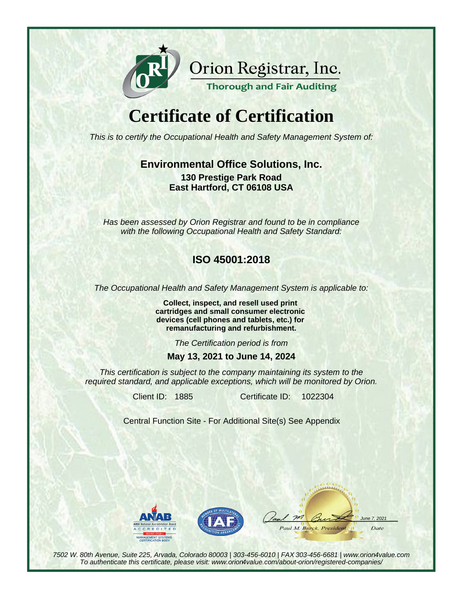

Orion Registrar, Inc.

#### **Thorough and Fair Auditing**

# **Certificate of Certification**

This is to certify the Occupational Health and Safety Management System of:

### **Environmental Office Solutions, Inc. 130 Prestige Park Road East Hartford, CT 06108 USA**

Has been assessed by Orion Registrar and found to be in compliance with the following Occupational Health and Safety Standard:

### **ISO 45001:2018**

The Occupational Health and Safety Management System is applicable to:

**Collect, inspect, and resell used print cartridges and small consumer electronic devices (cell phones and tablets, etc.) for remanufacturing and refurbishment.**

The Certification period is from

#### **May 13, 2021 to June 14, 2024**

This certification is subject to the company maintaining its system to the required standard, and applicable exceptions, which will be monitored by Orion.

Client ID: 1885 Certificate ID:

1022304

Central Function Site - For Additional Site(s) See Appendix





 $m$  $202$ Paul M. Burck, Presidem Date

7502 W. 80th Avenue, Suite 225, Arvada, Colorado 80003 | 303-456-6010 | FAX 303-456-6681 | www.orion4value.com To authenticate this certificate, please visit: www.orion4value.com/about-orion/registered-companies/